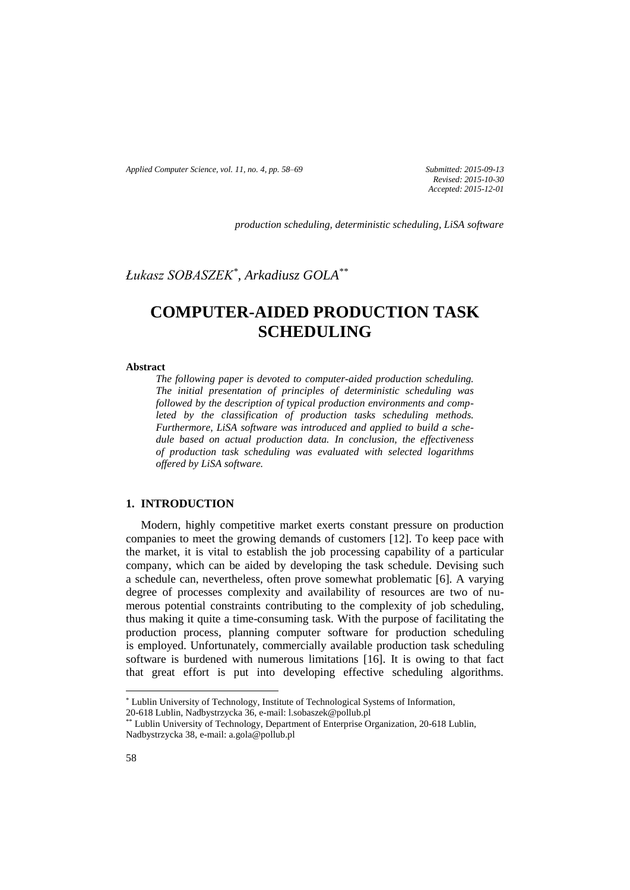*Applied Computer Science, vol. 11, no. 4, pp. 58–69 Submitted: 2015-09-13*

*Revised: 2015-10-30 Accepted: 2015-12-01*

*production scheduling, deterministic scheduling, LiSA software* 

*Łukasz SOBASZEK\* , Arkadiusz GOLA\*\**

# **COMPUTER-AIDED PRODUCTION TASK SCHEDULING**

#### **Abstract**

*The following paper is devoted to computer-aided production scheduling. The initial presentation of principles of deterministic scheduling was followed by the description of typical production environments and completed by the classification of production tasks scheduling methods. Furthermore, LiSA software was introduced and applied to build a schedule based on actual production data. In conclusion, the effectiveness of production task scheduling was evaluated with selected logarithms offered by LiSA software.*

## **1. INTRODUCTION**

Modern, highly competitive market exerts constant pressure on production companies to meet the growing demands of customers [12]. To keep pace with the market, it is vital to establish the job processing capability of a particular company, which can be aided by developing the task schedule. Devising such a schedule can, nevertheless, often prove somewhat problematic [6]. A varying degree of processes complexity and availability of resources are two of numerous potential constraints contributing to the complexity of job scheduling, thus making it quite a time-consuming task. With the purpose of facilitating the production process, planning computer software for production scheduling is employed. Unfortunately, commercially available production task scheduling software is burdened with numerous limitations [16]. It is owing to that fact that great effort is put into developing effective scheduling algorithms.

 $\overline{\phantom{a}}$ 

<sup>\*</sup> Lublin University of Technology, Institute of Technological Systems of Information,

<sup>20-618</sup> Lublin, Nadbystrzycka 36, e-mail: l.sobaszek@pollub.pl

<sup>\*\*</sup> Lublin University of Technology, Department of Enterprise Organization, 20-618 Lublin, Nadbystrzycka 38, e-mail: a.gola@pollub.pl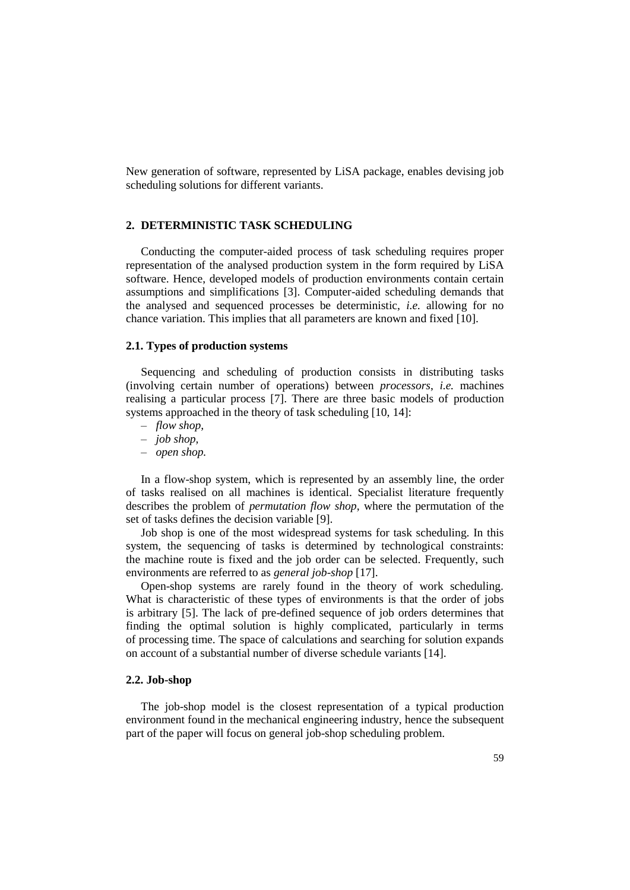New generation of software, represented by LiSA package, enables devising job scheduling solutions for different variants.

### **2. DETERMINISTIC TASK SCHEDULING**

Conducting the computer-aided process of task scheduling requires proper representation of the analysed production system in the form required by LiSA software. Hence, developed models of production environments contain certain assumptions and simplifications [3]. Computer-aided scheduling demands that the analysed and sequenced processes be deterministic, *i.e.* allowing for no chance variation. This implies that all parameters are known and fixed [10].

#### **2.1. Types of production systems**

Sequencing and scheduling of production consists in distributing tasks (involving certain number of operations) between *processors*, *i.e.* machines realising a particular process [7]. There are three basic models of production systems approached in the theory of task scheduling [10, 14]:

- *flow shop,*
- *job shop,*
- *open shop.*

In a flow-shop system, which is represented by an assembly line, the order of tasks realised on all machines is identical. Specialist literature frequently describes the problem of *permutation flow shop*, where the permutation of the set of tasks defines the decision variable [9].

Job shop is one of the most widespread systems for task scheduling. In this system, the sequencing of tasks is determined by technological constraints: the machine route is fixed and the job order can be selected. Frequently, such environments are referred to as *general job-shop* [17].

Open-shop systems are rarely found in the theory of work scheduling. What is characteristic of these types of environments is that the order of jobs is arbitrary [5]. The lack of pre-defined sequence of job orders determines that finding the optimal solution is highly complicated, particularly in terms of processing time. The space of calculations and searching for solution expands on account of a substantial number of diverse schedule variants [14].

#### **2.2. Job-shop**

The job-shop model is the closest representation of a typical production environment found in the mechanical engineering industry, hence the subsequent part of the paper will focus on general job-shop scheduling problem.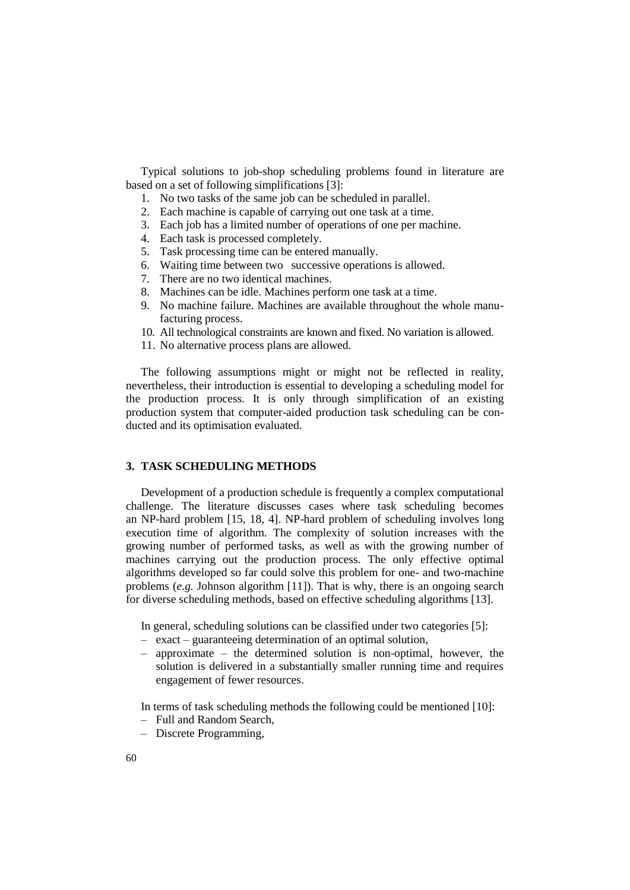Typical solutions to job-shop scheduling problems found in literature are based on a set of following simplifications [3]:

- 1. No two tasks of the same job can be scheduled in parallel.
- 2. Each machine is capable of carrying out one task at a time.
- 3. Each job has a limited number of operations of one per machine.
- 4. Each task is processed completely.
- 5. Task processing time can be entered manually.
- 6. Waiting time between two successive operations is allowed.
- 7. There are no two identical machines.
- 8. Machines can be idle. Machines perform one task at a time.
- 9. No machine failure. Machines are available throughout the whole manufacturing process.
- 10. All technological constraints are known and fixed. No variation is allowed.
- 11. No alternative process plans are allowed.

The following assumptions might or might not be reflected in reality, nevertheless, their introduction is essential to developing a scheduling model for the production process. It is only through simplification of an existing production system that computer-aided production task scheduling can be conducted and its optimisation evaluated.

#### **3. TASK SCHEDULING METHODS**

Development of a production schedule is frequently a complex computational challenge. The literature discusses cases where task scheduling becomes an NP-hard problem [15, 18, 4]. NP-hard problem of scheduling involves long execution time of algorithm. The complexity of solution increases with the growing number of performed tasks, as well as with the growing number of machines carrying out the production process. The only effective optimal algorithms developed so far could solve this problem for one- and two-machine problems (*e.g.* Johnson algorithm [11]). That is why, there is an ongoing search for diverse scheduling methods, based on effective scheduling algorithms [13].

In general, scheduling solutions can be classified under two categories [5]:

- exact guaranteeing determination of an optimal solution,
- approximate the determined solution is non-optimal, however, the solution is delivered in a substantially smaller running time and requires engagement of fewer resources.

In terms of task scheduling methods the following could be mentioned [10]:

- Full and Random Search,
- Discrete Programming,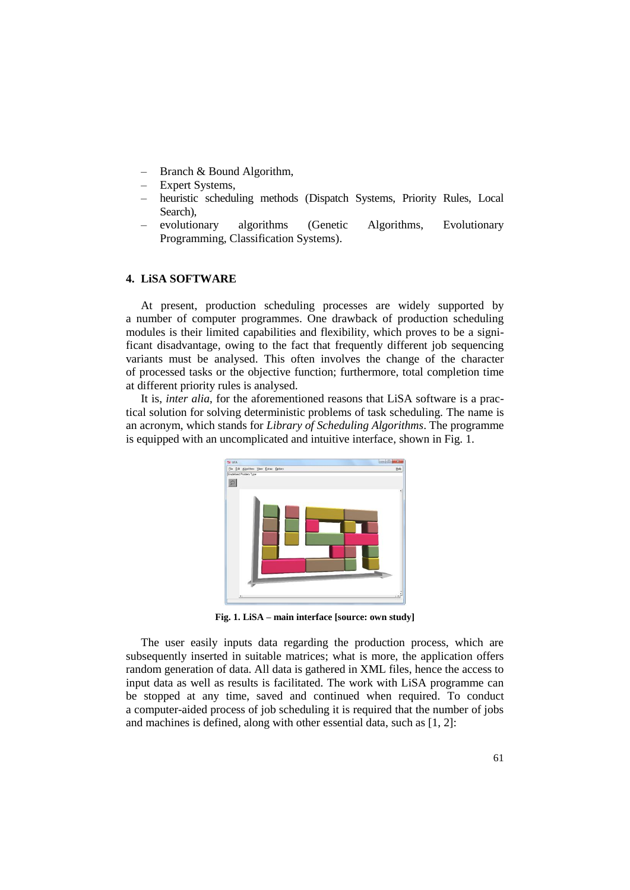- Branch & Bound Algorithm,
- Expert Systems,
- heuristic scheduling methods (Dispatch Systems, Priority Rules, Local Search),
- evolutionary algorithms (Genetic Algorithms, Evolutionary Programming, Classification Systems).

#### **4. LiSA SOFTWARE**

At present, production scheduling processes are widely supported by a number of computer programmes. One drawback of production scheduling modules is their limited capabilities and flexibility, which proves to be a significant disadvantage, owing to the fact that frequently different job sequencing variants must be analysed. This often involves the change of the character of processed tasks or the objective function; furthermore, total completion time at different priority rules is analysed.

It is, *inter alia*, for the aforementioned reasons that LiSA software is a practical solution for solving deterministic problems of task scheduling. The name is an acronym, which stands for *Library of Scheduling Algorithms*. The programme is equipped with an uncomplicated and intuitive interface, shown in Fig. 1.



**Fig. 1. LiSA – main interface [source: own study]**

The user easily inputs data regarding the production process, which are subsequently inserted in suitable matrices; what is more, the application offers random generation of data. All data is gathered in XML files, hence the access to input data as well as results is facilitated. The work with LiSA programme can be stopped at any time, saved and continued when required. To conduct a computer-aided process of job scheduling it is required that the number of jobs and machines is defined, along with other essential data, such as [1, 2]: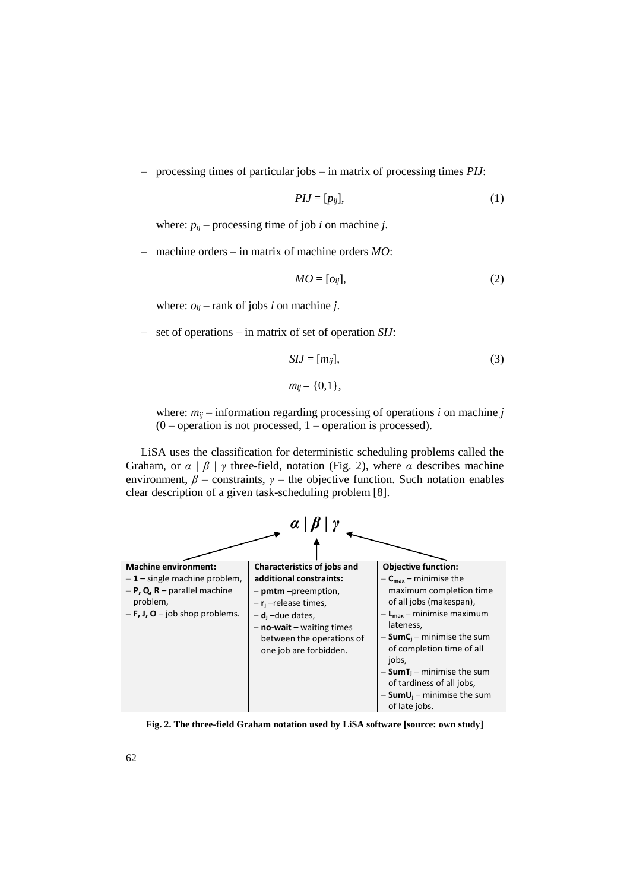– processing times of particular jobs – in matrix of processing times *PIJ*:

$$
PIJ = [p_{ij}], \tag{1}
$$

where:  $p_{ij}$  – processing time of job *i* on machine *j*.

– machine orders – in matrix of machine orders *MO*:

$$
MO = [o_{ij}], \tag{2}
$$

where:  $o_{ij}$  – rank of jobs *i* on machine *j*.

– set of operations – in matrix of set of operation *SIJ*:

$$
SIJ = [m_{ij}], \tag{3}
$$

$$
m_{ij}=\{0,1\},\,
$$

where:  $m_{ii}$  – information regarding processing of operations *i* on machine *j*  $(0$  – operation is not processed, 1 – operation is processed).

LiSA uses the classification for deterministic scheduling problems called the Graham, or *α | β | γ* three-field, notation (Fig. 2), where *α* describes machine environment,  $\beta$  – constraints,  $\gamma$  – the objective function. Such notation enables clear description of a given task-scheduling problem [8].



**Fig. 2. The three-field Graham notation used by LiSA software [source: own study]**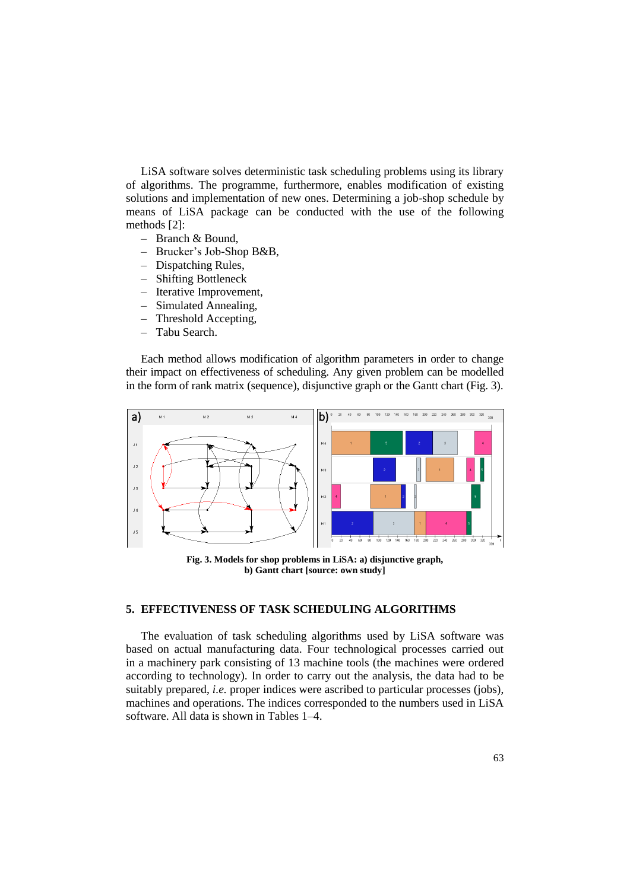LiSA software solves deterministic task scheduling problems using its library of algorithms. The programme, furthermore, enables modification of existing solutions and implementation of new ones. Determining a job-shop schedule by means of LiSA package can be conducted with the use of the following methods [2]:

- Branch & Bound,
- Brucker's Job-Shop B&B,
- Dispatching Rules,
- Shifting Bottleneck
- Iterative Improvement,
- Simulated Annealing,
- Threshold Accepting,
- Tabu Search.

Each method allows modification of algorithm parameters in order to change their impact on effectiveness of scheduling. Any given problem can be modelled in the form of rank matrix (sequence), disjunctive graph or the Gantt chart (Fig. 3).



**Fig. 3. Models for shop problems in LiSA: a) disjunctive graph, b) Gantt chart [source: own study]**

# **5. EFFECTIVENESS OF TASK SCHEDULING ALGORITHMS**

The evaluation of task scheduling algorithms used by LiSA software was based on actual manufacturing data. Four technological processes carried out in a machinery park consisting of 13 machine tools (the machines were ordered according to technology). In order to carry out the analysis, the data had to be suitably prepared, *i.e.* proper indices were ascribed to particular processes (jobs), machines and operations. The indices corresponded to the numbers used in LiSA software. All data is shown in Tables 1–4.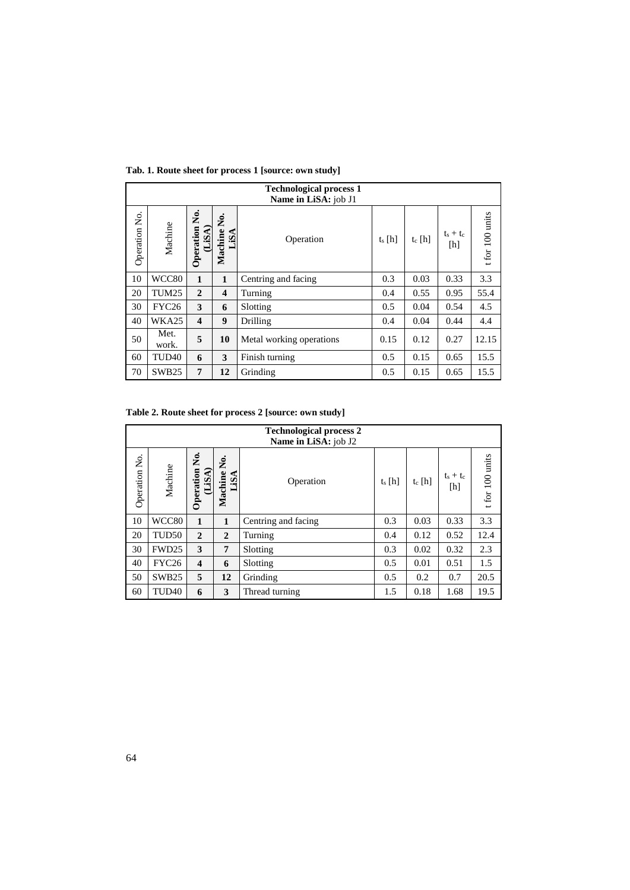|               | <b>Technological process 1</b><br>Name in LiSA: job J1 |                         |                         |                          |          |          |                    |                 |  |  |  |
|---------------|--------------------------------------------------------|-------------------------|-------------------------|--------------------------|----------|----------|--------------------|-----------------|--|--|--|
| Operation No. | Machine                                                | Ż.<br>Operation<br>LiSA | ż.<br>Machine<br>LiSA   | Operation                | $t_s[h]$ | $t_c[h]$ | $t_s + t_c$<br>[h] | t for 100 units |  |  |  |
| 10            | WCC80                                                  | 1                       | 1                       | Centring and facing      | 0.3      | 0.03     | 0.33               | 3.3             |  |  |  |
| 20            | TUM25                                                  | $\mathbf{2}$            | $\overline{\mathbf{4}}$ | Turning                  | 0.4      | 0.55     | 0.95               | 55.4            |  |  |  |
| 30            | <b>FYC26</b>                                           | 3                       | 6                       | Slotting                 | 0.5      | 0.04     | 0.54               | 4.5             |  |  |  |
| 40            | WKA25                                                  | $\overline{\mathbf{4}}$ | 9                       | Drilling                 | 0.4      | 0.04     | 0.44               | 4.4             |  |  |  |
| 50            | Met.<br>work.                                          | 5                       | 10                      | Metal working operations | 0.15     | 0.12     | 0.27               | 12.15           |  |  |  |
| 60            | TUD <sub>40</sub>                                      | 6                       | 3                       | Finish turning           | 0.5      | 0.15     | 0.65               | 15.5            |  |  |  |
| 70            | SWB <sub>25</sub>                                      | 7                       | 12                      | Grinding                 | 0.5      | 0.15     | 0.65               | 15.5            |  |  |  |

**Tab. 1. Route sheet for process 1 [source: own study]**

**Table 2. Route sheet for process 2 [source: own study]**

|               | <b>Technological process 2</b><br>Name in LiSA: job J2 |                         |                       |                     |           |           |                    |                 |  |  |  |
|---------------|--------------------------------------------------------|-------------------------|-----------------------|---------------------|-----------|-----------|--------------------|-----------------|--|--|--|
| Operation No. | Machine                                                | Operation No.<br>(LiSA) | ż.<br>Machine<br>LiSA | Operation           | $t_s$ [h] | $t_c$ [h] | $t_s + t_c$<br>[h] | t for 100 units |  |  |  |
| 10            | WCC80                                                  | 1                       | 1                     | Centring and facing | 0.3       | 0.03      | 0.33               | 3.3             |  |  |  |
| 20            | TUD <sub>50</sub>                                      | $\mathbf{2}$            | $\mathbf{2}$          | Turning             | 0.4       | 0.12      | 0.52               | 12.4            |  |  |  |
| 30            | FWD <sub>25</sub>                                      | 3                       | 7                     | Slotting            | 0.3       | 0.02      | 0.32               | 2.3             |  |  |  |
| 40            | <b>FYC26</b>                                           | $\overline{\mathbf{4}}$ | 6                     | Slotting            | 0.5       | 0.01      | 0.51               | 1.5             |  |  |  |
| 50            | SWB <sub>25</sub>                                      | 5                       | 12                    | Grinding            | 0.5       | 0.2       | 0.7                | 20.5            |  |  |  |
| 60            | TUD <sub>40</sub>                                      | 6                       | 3                     | Thread turning      | 1.5       | 0.18      | 1.68               | 19.5            |  |  |  |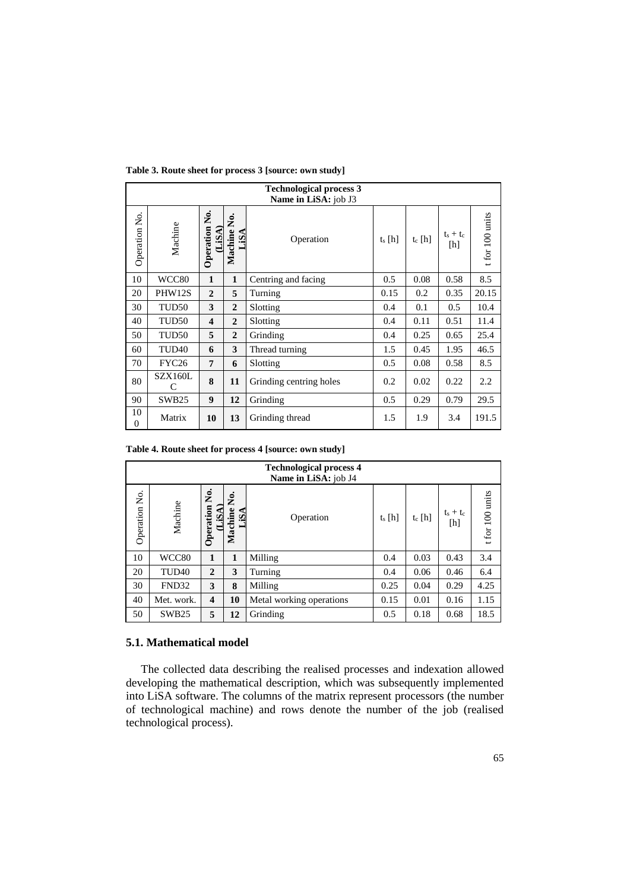|                      | <b>Technological process 3</b> |                              |                     |                         |           |           |                    |                 |  |  |  |
|----------------------|--------------------------------|------------------------------|---------------------|-------------------------|-----------|-----------|--------------------|-----------------|--|--|--|
|                      |                                |                              |                     | Name in LiSA: job J3    |           |           |                    |                 |  |  |  |
| Operation No.        | Machine                        | <b>Operation No.</b><br>LiSA | Machine No.<br>LiSA | Operation               | $t_s$ [h] | $t_c$ [h] | $t_s + t_c$<br>[h] | t for 100 units |  |  |  |
| 10                   | WCC80                          | $\mathbf{1}$                 | $\mathbf{1}$        | Centring and facing     | 0.5       | 0.08      | 0.58               | 8.5             |  |  |  |
| 20                   | PHW12S                         | $\overline{2}$               | 5                   | Turning                 | 0.15      | 0.2       | 0.35               | 20.15           |  |  |  |
| 30                   | TUD50                          | 3                            | $\mathbf{2}$        | Slotting                | 0.4       | 0.1       | 0.5                | 10.4            |  |  |  |
| 40                   | TUD <sub>50</sub>              | $\overline{\mathbf{4}}$      | $\overline{2}$      | Slotting                | 0.4       | 0.11      | 0.51               | 11.4            |  |  |  |
| 50                   | TUD <sub>50</sub>              | 5                            | $\overline{2}$      | Grinding                | 0.4       | 0.25      | 0.65               | 25.4            |  |  |  |
| 60                   | TUD <sub>40</sub>              | 6                            | 3                   | Thread turning          | 1.5       | 0.45      | 1.95               | 46.5            |  |  |  |
| 70                   | FYC <sub>26</sub>              | 7                            | 6                   | Slotting                | 0.5       | 0.08      | 0.58               | 8.5             |  |  |  |
| 80                   | SZX160L<br>C                   | 8                            | 11                  | Grinding centring holes | 0.2       | 0.02      | 0.22               | 2.2             |  |  |  |
| 90                   | SWB <sub>25</sub>              | 9                            | 12                  | Grinding                | 0.5       | 0.29      | 0.79               | 29.5            |  |  |  |
| 10<br>$\overline{0}$ | Matrix                         | 10                           | 13                  | Grinding thread         | 1.5       | 1.9       | 3.4                | 191.5           |  |  |  |

**Table 3. Route sheet for process 3 [source: own study]**

**Table 4. Route sheet for process 4 [source: own study]**

|               | <b>Technological process 4</b><br>Name in LiSA: job J4 |                           |                       |                          |           |           |                    |                 |  |  |  |
|---------------|--------------------------------------------------------|---------------------------|-----------------------|--------------------------|-----------|-----------|--------------------|-----------------|--|--|--|
| Operation No. | Machine                                                | Ż.<br>(LISA)<br>Operation | Ż.<br>Machine<br>LiS. | Operation                | $t_s$ [h] | $t_c$ [h] | $t_s + t_c$<br>[h] | t for 100 units |  |  |  |
| 10            | WCC80                                                  | 1                         | 1                     | Milling                  | 0.4       | 0.03      | 0.43               | 3.4             |  |  |  |
| 20            | TUD <sub>40</sub>                                      | $\mathbf{2}$              | 3                     | Turning                  | 0.4       | 0.06      | 0.46               | 6.4             |  |  |  |
| 30            | FND32                                                  | 3                         | 8                     | Milling                  | 0.25      | 0.04      | 0.29               | 4.25            |  |  |  |
| 40            | Met. work.                                             | $\overline{\mathbf{4}}$   | 10                    | Metal working operations | 0.15      | 0.01      | 0.16               | 1.15            |  |  |  |
| 50            | SWB <sub>25</sub>                                      | 5                         | 12                    | Grinding                 | 0.5       | 0.18      | 0.68               | 18.5            |  |  |  |

## **5.1. Mathematical model**

The collected data describing the realised processes and indexation allowed developing the mathematical description, which was subsequently implemented into LiSA software. The columns of the matrix represent processors (the number of technological machine) and rows denote the number of the job (realised technological process).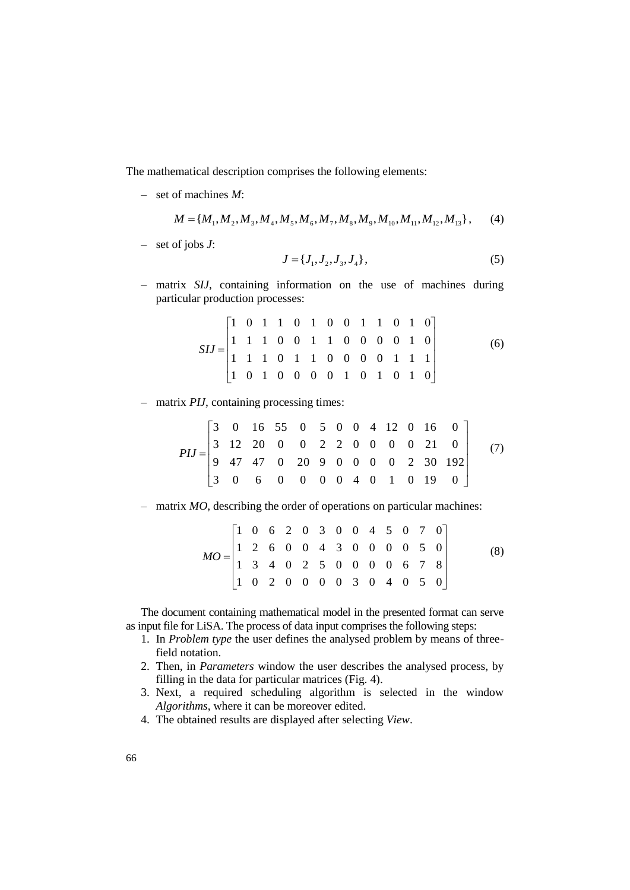The mathematical description comprises the following elements:

– set of machines *M*:

$$
M = \{M_1, M_2, M_3, M_4, M_5, M_6, M_7, M_8, M_9, M_{10}, M_{11}, M_{12}, M_{13}\},\tag{4}
$$

– set of jobs *J*:

$$
J = \{J_1, J_2, J_3, J_4\},\tag{5}
$$

– matrix *SIJ*, containing information on the use of machines during particular production processes:

$$
SIJ = \begin{bmatrix} 1 & 0 & 1 & 1 & 0 & 1 & 0 & 0 & 1 & 1 & 0 & 1 & 0 \\ 1 & 1 & 1 & 0 & 0 & 1 & 1 & 0 & 0 & 0 & 0 & 1 & 0 \\ 1 & 1 & 1 & 0 & 1 & 1 & 0 & 0 & 0 & 0 & 1 & 1 & 1 \\ 1 & 0 & 1 & 0 & 0 & 0 & 0 & 1 & 0 & 1 & 0 & 1 & 0 \end{bmatrix}
$$
(6)

$$
PIJ = \begin{bmatrix} 3 & 0 & 16 & 55 & 0 & 5 & 0 & 0 & 4 & 12 & 0 & 16 & 0 \\ 3 & 12 & 20 & 0 & 0 & 2 & 2 & 0 & 0 & 0 & 21 & 0 \\ 9 & 47 & 47 & 0 & 20 & 9 & 0 & 0 & 0 & 0 & 2 & 30 & 192 \\ 3 & 0 & 6 & 0 & 0 & 0 & 0 & 4 & 0 & 1 & 0 & 19 & 0 \end{bmatrix}
$$
(7)

– matrix *MO*, describing the order of operations on particular machines:

$$
MO = \begin{bmatrix} 1 & 0 & 6 & 2 & 0 & 3 & 0 & 0 & 4 & 5 & 0 & 7 & 0 \\ 1 & 2 & 6 & 0 & 0 & 4 & 3 & 0 & 0 & 0 & 0 & 5 & 0 \\ 1 & 3 & 4 & 0 & 2 & 5 & 0 & 0 & 0 & 0 & 6 & 7 & 8 \\ 1 & 0 & 2 & 0 & 0 & 0 & 0 & 3 & 0 & 4 & 0 & 5 & 0 \end{bmatrix}
$$
(8)

The document containing mathematical model in the presented format can serve as input file for LiSA. The process of data input comprises the following steps:

- 1. In *Problem type* the user defines the analysed problem by means of threefield notation.
- 2. Then, in *Parameters* window the user describes the analysed process, by filling in the data for particular matrices (Fig. 4).
- 3. Next, a required scheduling algorithm is selected in the window *Algorithms*, where it can be moreover edited.
- 4. The obtained results are displayed after selecting *View*.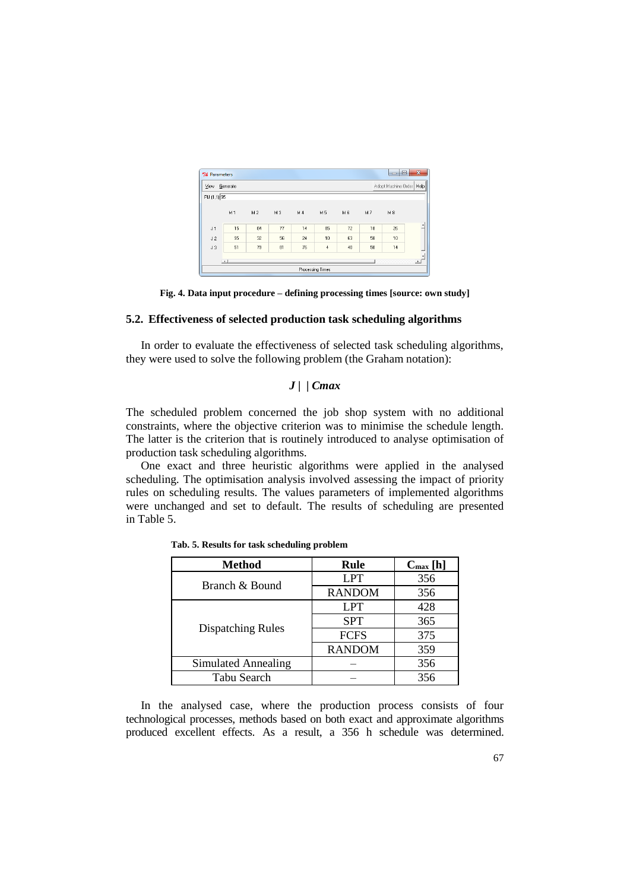| Adopt Machine Order   Help<br>Generate<br><b>View</b><br>PIJ (1,1) 95 |                |                |     |                |            |     |    |    |   |  |  |
|-----------------------------------------------------------------------|----------------|----------------|-----|----------------|------------|-----|----|----|---|--|--|
|                                                                       | M <sub>1</sub> | M <sub>2</sub> | M 3 | M <sub>4</sub> | M 5        | M 6 | M7 | M8 |   |  |  |
| J <sub>1</sub>                                                        | 15             | 84             | 77  | 14             | 85         | 72  | 18 | 26 | ₫ |  |  |
| J <sub>2</sub>                                                        | 95             | 32             | 56  | 24             | 10         | 63  | 58 | 10 |   |  |  |
| J3                                                                    | 51             | 79             | 81  | 76             | $\ddot{4}$ | 40  | 50 | 14 |   |  |  |



## **5.2. Effectiveness of selected production task scheduling algorithms**

In order to evaluate the effectiveness of selected task scheduling algorithms, they were used to solve the following problem (the Graham notation):

## *J* **| |** *Cmax*

The scheduled problem concerned the job shop system with no additional constraints, where the objective criterion was to minimise the schedule length. The latter is the criterion that is routinely introduced to analyse optimisation of production task scheduling algorithms.

One exact and three heuristic algorithms were applied in the analysed scheduling. The optimisation analysis involved assessing the impact of priority rules on scheduling results. The values parameters of implemented algorithms were unchanged and set to default. The results of scheduling are presented in Table 5.

| <b>Method</b>            | Rule                                       | $C_{\text{max}}[h]$ |
|--------------------------|--------------------------------------------|---------------------|
| Branch & Bound           | <b>LPT</b>                                 | 356                 |
|                          | <b>RANDOM</b>                              | 356                 |
|                          | LPT                                        | 428                 |
|                          | <b>SPT</b><br><b>FCFS</b><br><b>RANDOM</b> | 365                 |
| <b>Dispatching Rules</b> |                                            | 375                 |
|                          |                                            | 359                 |
| Simulated Annealing      |                                            | 356                 |
| Tabu Search              |                                            | 356                 |

**Tab. 5. Results for task scheduling problem**

In the analysed case, where the production process consists of four technological processes, methods based on both exact and approximate algorithms produced excellent effects. As a result, a 356 h schedule was determined.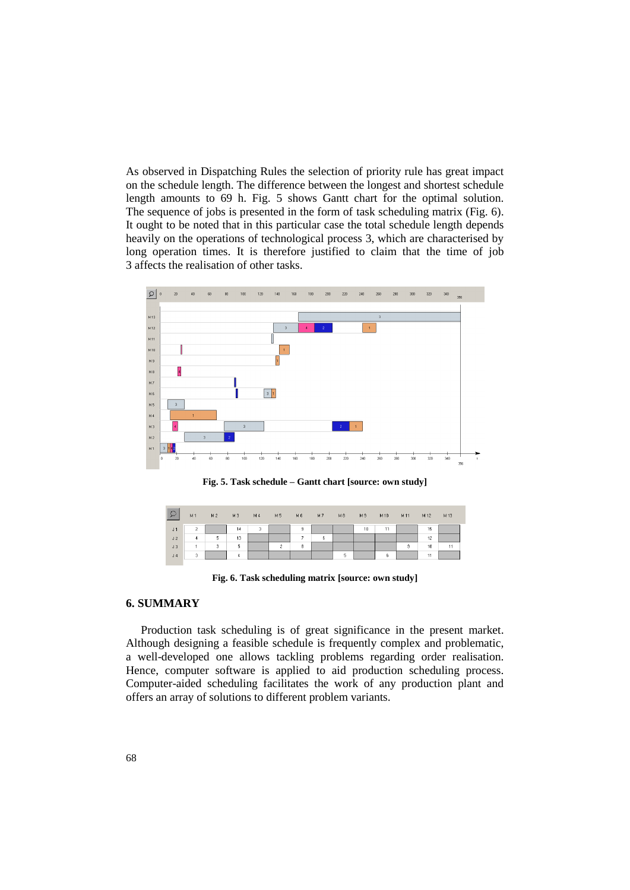As observed in Dispatching Rules the selection of priority rule has great impact on the schedule length. The difference between the longest and shortest schedule length amounts to 69 h. Fig. 5 shows Gantt chart for the optimal solution. The sequence of jobs is presented in the form of task scheduling matrix (Fig. 6). It ought to be noted that in this particular case the total schedule length depends heavily on the operations of technological process 3, which are characterised by long operation times. It is therefore justified to claim that the time of job 3 affects the realisation of other tasks.



**Fig. 5. Task schedule – Gantt chart [source: own study]**

| $\ddot{\mathcal{L}}$ | M1             | M <sub>2</sub> | M3 | M 4 | M <sub>5</sub> | M6             | M <sub>7</sub> | M8 | M 9 | M 10 | M 11 | M 12 | M13 |
|----------------------|----------------|----------------|----|-----|----------------|----------------|----------------|----|-----|------|------|------|-----|
| J <sub>1</sub>       | $\overline{c}$ |                | 14 | 3   |                | 9              |                |    | 10  | 11   |      | 15   |     |
| J2                   | 4              | 5              | 13 |     |                | $\overline{7}$ | 6              |    |     |      |      | 12   |     |
| J3                   |                | 3              | 5  |     | $\overline{2}$ | 8              |                |    |     |      | 9    | 10   | 11  |
| J <sub>4</sub>       | 3              |                | 4  |     |                |                |                | 5  |     | 6    |      | 11   |     |

**Fig. 6. Task scheduling matrix [source: own study]**

#### **6. SUMMARY**

Production task scheduling is of great significance in the present market. Although designing a feasible schedule is frequently complex and problematic, a well-developed one allows tackling problems regarding order realisation. Hence, computer software is applied to aid production scheduling process. Computer-aided scheduling facilitates the work of any production plant and offers an array of solutions to different problem variants.